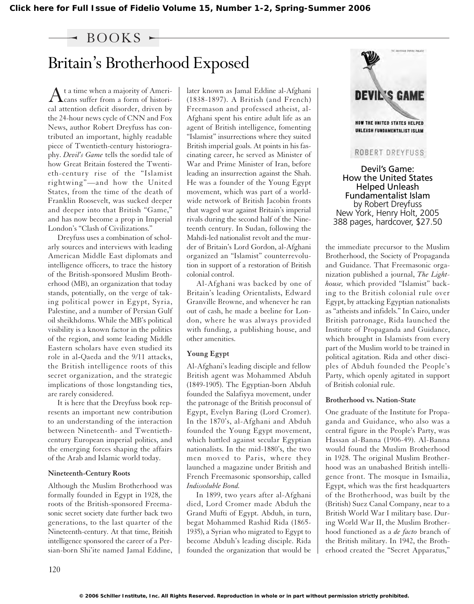### $-$  BOOKS  $-$

# Britain's Brotherhood Exposed

At a time when a majority of Ameri-cans suffer from a form of historical attention deficit disorder, driven by the 24-hour news cycle of CNN and Fox News, author Robert Dreyfuss has contributed an important, highly readable piece of Twentieth-century historiography. *Devil's Game* tells the sordid tale of how Great Britain fostered the Twentieth-century rise of the "Islamist rightwing"—and how the United States, from the time of the death of Franklin Roosevelt, was sucked deeper and deeper into that British "Game," and has now become a prop in Imperial London's "Clash of Civilizations."

Dreyfuss uses a combination of scholarly sources and interviews with leading American Middle East diplomats and intelligence officers, to trace the history of the British-sponsored Muslim Brotherhood (MB), an organization that today stands, potentially, on the verge of taking political power in Egypt, Syria, Palestine, and a number of Persian Gulf oil sheikhdoms. While the MB's political visibility is a known factor in the politics of the region, and some leading Middle Eastern scholars have even studied its role in al**-**Qaeda and the 9/11 attacks, the British intelligence roots of this secret organization, and the strategic implications of those longstanding ties, are rarely considered.

It is here that the Dreyfuss book represents an important new contribution to an understanding of the interaction between Nineteenth- and Twentiethcentury European imperial politics, and the emerging forces shaping the affairs of the Arab and Islamic world today.

#### **Nineteenth-Century Roots**

Although the Muslim Brotherhood was formally founded in Egypt in 1928, the roots of the British-sponsored Freemasonic secret society date further back two generations, to the last quarter of the Nineteenth-century. At that time, British intelligence sponsored the career of a Persian-born Shi'ite named Jamal Eddine, later known as Jamal Eddine al-Afghani (1838-1897). A British (and French) Freemason and professed atheist, al-Afghani spent his entire adult life as an agent of British intelligence, fomenting "Islamist" insurrections where they suited British imperial goals. At points in his fascinating career, he served as Minister of War and Prime Minister of Iran, before leading an insurrection against the Shah. He was a founder of the Young Egypt movement, which was part of a worldwide network of British Jacobin fronts that waged war against Britain's imperial rivals during the second half of the Nineteenth century. In Sudan, following the Mahdi-led nationalist revolt and the murder of Britain's Lord Gordon, al-Afghani organized an "Islamist" counterrevolution in support of a restoration of British colonial control.

Al-Afghani was backed by one of Britain's leading Orientalists, Edward Granville Browne, and whenever he ran out of cash, he made a beeline for London, where he was always provided with funding, a publishing house, and other amenities.

#### **Young Egypt**

Al-Afghani's leading disciple and fellow British agent was Mohammed Abduh (1849-1905). The Egyptian-born Abduh founded the Salafiyya movement, under the patronage of the British proconsul of Egypt, Evelyn Baring (Lord Cromer). In the 1870's, al-Afghani and Abduh founded the Young Egypt movement, which battled against secular Egyptian nationalists. In the mid-1880's, the two men moved to Paris, where they launched a magazine under British and French Freemasonic sponsorship, called *Indissoluble Bond.*

In 1899, two years after al-Afghani died, Lord Cromer made Abduh the Grand Mufti of Egypt. Abduh, in turn, begat Mohammed Rashid Rida (1865- 1935), a Syrian who migrated to Egypt to become Abduh's leading disciple. Rida founded the organization that would be



Devil's Game: How the United States Helped Unleash Fundamentalist Islam by Robert Dreyfuss New York, Henry Holt, 2005 388 pages, hardcover, \$27.50

the immediate precursor to the Muslim Brotherhood, the Society of Propaganda and Guidance. That Freemasonic organization published a journal, *The Lighthouse,* which provided "Islamist" backing to the British colonial rule over Egypt, by attacking Egyptian nationalists as "atheists and infidels." In Cairo, under British patronage, Rida launched the Institute of Propaganda and Guidance, which brought in Islamists from every part of the Muslim world to be trained in political agitation. Rida and other disciples of Abduh founded the People's Party, which openly agitated in support of British colonial rule.

#### **Brotherhood vs. Nation-State**

One graduate of the Institute for Propaganda and Guidance, who also was a central figure in the People's Party, was Hassan al-Banna (1906-49). Al-Banna would found the Muslim Brotherhood in 1928. The original Muslim Brotherhood was an unabashed British intelligence front. The mosque in Ismailia, Egypt, which was the first headquarters of the Brotherhood, was built by the (British) Suez Canal Company, near to a British World War I military base. During World War II, the Muslim Brotherhood functioned as a *de facto* branch of the British military. In 1942, the Brotherhood created the "Secret Apparatus,"